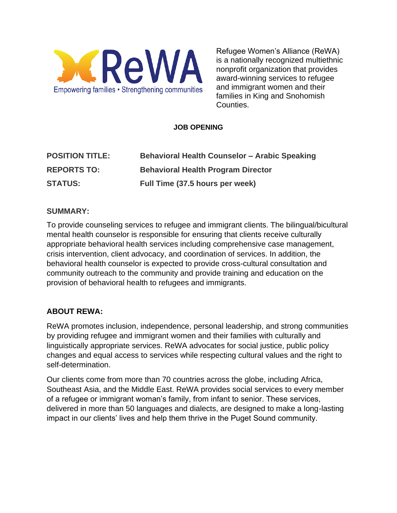

Refugee Women's Alliance (ReWA) is a nationally recognized multiethnic nonprofit organization that provides award-winning services to refugee and immigrant women and their families in King and Snohomish Counties.

### **JOB OPENING**

| <b>POSITION TITLE:</b> | <b>Behavioral Health Counselor - Arabic Speaking</b> |
|------------------------|------------------------------------------------------|
| <b>REPORTS TO:</b>     | <b>Behavioral Health Program Director</b>            |
| <b>STATUS:</b>         | Full Time (37.5 hours per week)                      |

### **SUMMARY:**

To provide counseling services to refugee and immigrant clients. The bilingual/bicultural mental health counselor is responsible for ensuring that clients receive culturally appropriate behavioral health services including comprehensive case management, crisis intervention, client advocacy, and coordination of services. In addition, the behavioral health counselor is expected to provide cross-cultural consultation and community outreach to the community and provide training and education on the provision of behavioral health to refugees and immigrants.

# **ABOUT REWA:**

ReWA promotes inclusion, independence, personal leadership, and strong communities by providing refugee and immigrant women and their families with culturally and linguistically appropriate services. ReWA advocates for social justice, public policy changes and equal access to services while respecting cultural values and the right to self-determination.

Our clients come from more than 70 countries across the globe, including Africa, Southeast Asia, and the Middle East. ReWA provides social services to every member of a refugee or immigrant woman's family, from infant to senior. These services, delivered in more than 50 languages and dialects, are designed to make a long-lasting impact in our clients' lives and help them thrive in the Puget Sound community.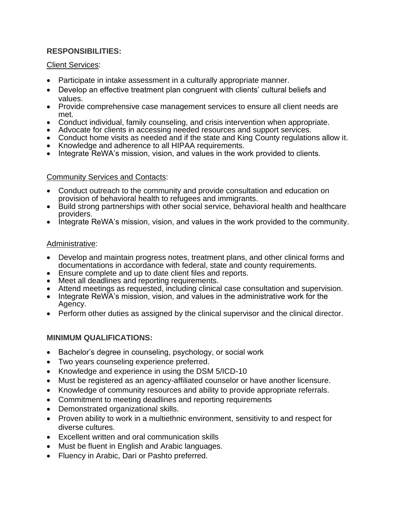## **RESPONSIBILITIES:**

#### Client Services:

- Participate in intake assessment in a culturally appropriate manner.
- Develop an effective treatment plan congruent with clients' cultural beliefs and values.
- Provide comprehensive case management services to ensure all client needs are met.
- Conduct individual, family counseling, and crisis intervention when appropriate.
- Advocate for clients in accessing needed resources and support services.
- Conduct home visits as needed and if the state and King County regulations allow it.
- Knowledge and adherence to all HIPAA requirements.
- Integrate ReWA's mission, vision, and values in the work provided to clients.

### Community Services and Contacts:

- Conduct outreach to the community and provide consultation and education on provision of behavioral health to refugees and immigrants.
- Build strong partnerships with other social service, behavioral health and healthcare providers.
- Integrate ReWA's mission, vision, and values in the work provided to the community.

## Administrative:

- Develop and maintain progress notes, treatment plans, and other clinical forms and documentations in accordance with federal, state and county requirements.
- Ensure complete and up to date client files and reports.
- Meet all deadlines and reporting requirements.
- Attend meetings as requested, including clinical case consultation and supervision.
- Integrate ReWA's mission, vision, and values in the administrative work for the Agency.
- Perform other duties as assigned by the clinical supervisor and the clinical director.

# **MINIMUM QUALIFICATIONS:**

- Bachelor's degree in counseling, psychology, or social work
- Two years counseling experience preferred.
- Knowledge and experience in using the DSM 5/ICD-10
- Must be registered as an agency-affiliated counselor or have another licensure.
- Knowledge of community resources and ability to provide appropriate referrals.
- Commitment to meeting deadlines and reporting requirements
- Demonstrated organizational skills.
- Proven ability to work in a multiethnic environment, sensitivity to and respect for diverse cultures.
- Excellent written and oral communication skills
- Must be fluent in English and Arabic languages.
- Fluency in Arabic, Dari or Pashto preferred.